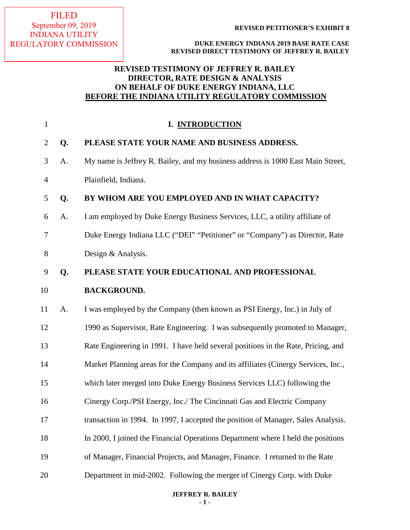FILED September 09, 2019 INDIANA UTILITY REGULATORY COMMISSION

**REVISED PETITIONER'S EXHIBIT 8**

**DUKE ENERGY INDIANA 2019 BASE RATE CASE REVISED DIRECT TESTIMONY OF JEFFREY R. BAILEY**

# **REVISED TESTIMONY OF JEFFREY R. BAILEY DIRECTOR, RATE DESIGN & ANALYSIS ON BEHALF OF DUKE ENERGY INDIANA, LLC BEFORE THE INDIANA UTILITY REGULATORY COMMISSION**

| $\mathbf{1}$   |    | I. INTRODUCTION                                                                   |
|----------------|----|-----------------------------------------------------------------------------------|
| $\overline{2}$ | Q. | PLEASE STATE YOUR NAME AND BUSINESS ADDRESS.                                      |
| 3              | A. | My name is Jeffrey R. Bailey, and my business address is 1000 East Main Street,   |
| $\overline{4}$ |    | Plainfield, Indiana.                                                              |
| 5              | Q. | BY WHOM ARE YOU EMPLOYED AND IN WHAT CAPACITY?                                    |
| 6              | A. | I am employed by Duke Energy Business Services, LLC, a utility affiliate of       |
| 7              |    | Duke Energy Indiana LLC ("DEI" "Petitioner" or "Company") as Director, Rate       |
| 8              |    | Design & Analysis.                                                                |
| 9              | Q. | PLEASE STATE YOUR EDUCATIONAL AND PROFESSIONAL                                    |
| 10             |    | <b>BACKGROUND.</b>                                                                |
| 11             | A. | I was employed by the Company (then known as PSI Energy, Inc.) in July of         |
| 12             |    | 1990 as Supervisor, Rate Engineering. I was subsequently promoted to Manager,     |
| 13             |    | Rate Engineering in 1991. I have held several positions in the Rate, Pricing, and |
| 14             |    | Market Planning areas for the Company and its affiliates (Cinergy Services, Inc., |
| 15             |    | which later merged into Duke Energy Business Services LLC) following the          |
| 16             |    | Cinergy Corp./PSI Energy, Inc./ The Cincinnati Gas and Electric Company           |
| 17             |    | transaction in 1994. In 1997, I accepted the position of Manager, Sales Analysis. |
| 18             |    | In 2000, I joined the Financial Operations Department where I held the positions  |
| 19             |    | of Manager, Financial Projects, and Manager, Finance. I returned to the Rate      |
| 20             |    | Department in mid-2002. Following the merger of Cinergy Corp. with Duke           |

#### **JEFFREY R. BAILEY - 1 -**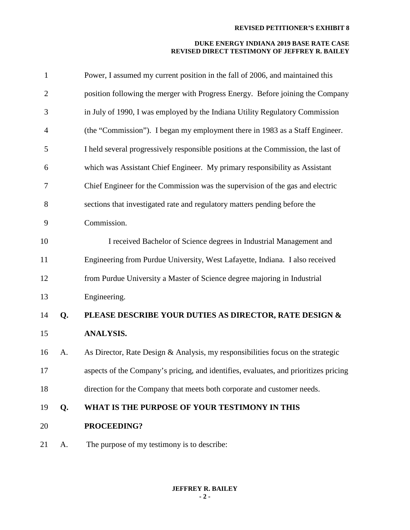| $\mathbf{1}$   |    | Power, I assumed my current position in the fall of 2006, and maintained this        |
|----------------|----|--------------------------------------------------------------------------------------|
| $\overline{2}$ |    | position following the merger with Progress Energy. Before joining the Company       |
| 3              |    | in July of 1990, I was employed by the Indiana Utility Regulatory Commission         |
| $\overline{4}$ |    | (the "Commission"). I began my employment there in 1983 as a Staff Engineer.         |
| 5              |    | I held several progressively responsible positions at the Commission, the last of    |
| 6              |    | which was Assistant Chief Engineer. My primary responsibility as Assistant           |
| 7              |    | Chief Engineer for the Commission was the supervision of the gas and electric        |
| 8              |    | sections that investigated rate and regulatory matters pending before the            |
| 9              |    | Commission.                                                                          |
| 10             |    | I received Bachelor of Science degrees in Industrial Management and                  |
| 11             |    | Engineering from Purdue University, West Lafayette, Indiana. I also received         |
| 12             |    | from Purdue University a Master of Science degree majoring in Industrial             |
| 13             |    | Engineering.                                                                         |
| 14             | Q. | PLEASE DESCRIBE YOUR DUTIES AS DIRECTOR, RATE DESIGN &                               |
| 15             |    | <b>ANALYSIS.</b>                                                                     |
| 16             | A. | As Director, Rate Design & Analysis, my responsibilities focus on the strategic      |
| 17             |    | aspects of the Company's pricing, and identifies, evaluates, and prioritizes pricing |
| 18             |    | direction for the Company that meets both corporate and customer needs.              |
| 19             | Q. | WHAT IS THE PURPOSE OF YOUR TESTIMONY IN THIS                                        |
| 20             |    | PROCEEDING?                                                                          |
| 21             | A. | The purpose of my testimony is to describe:                                          |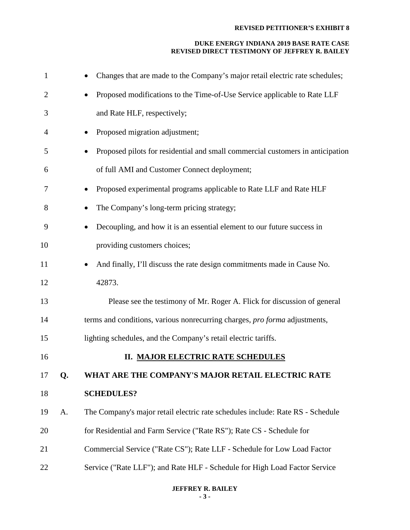# **DUKE ENERGY INDIANA 2019 BASE RATE CASE REVISED DIRECT TESTIMONY OF JEFFREY R. BAILEY**

| $\mathbf{1}$   |    | Changes that are made to the Company's major retail electric rate schedules;         |
|----------------|----|--------------------------------------------------------------------------------------|
| $\overline{c}$ |    | Proposed modifications to the Time-of-Use Service applicable to Rate LLF             |
| 3              |    | and Rate HLF, respectively;                                                          |
| 4              |    | Proposed migration adjustment;                                                       |
| 5              |    | Proposed pilots for residential and small commercial customers in anticipation       |
| 6              |    | of full AMI and Customer Connect deployment;                                         |
| 7              |    | Proposed experimental programs applicable to Rate LLF and Rate HLF                   |
| 8              |    | The Company's long-term pricing strategy;                                            |
| 9              |    | Decoupling, and how it is an essential element to our future success in<br>$\bullet$ |
| 10             |    | providing customers choices;                                                         |
| 11             |    | And finally, I'll discuss the rate design commitments made in Cause No.              |
| 12             |    | 42873.                                                                               |
| 13             |    | Please see the testimony of Mr. Roger A. Flick for discussion of general             |
| 14             |    | terms and conditions, various nonrecurring charges, pro forma adjustments,           |
| 15             |    | lighting schedules, and the Company's retail electric tariffs.                       |
| 16             |    | <b>II. MAJOR ELECTRIC RATE SCHEDULES</b>                                             |
| 17             | Q. | WHAT ARE THE COMPANY'S MAJOR RETAIL ELECTRIC RATE                                    |
| 18             |    | <b>SCHEDULES?</b>                                                                    |
| 19             | A. | The Company's major retail electric rate schedules include: Rate RS - Schedule       |
| 20             |    | for Residential and Farm Service ("Rate RS"); Rate CS - Schedule for                 |
| 21             |    | Commercial Service ("Rate CS"); Rate LLF - Schedule for Low Load Factor              |
| 22             |    | Service ("Rate LLF"); and Rate HLF - Schedule for High Load Factor Service           |
|                |    |                                                                                      |

# **JEFFREY R. BAILEY - 3 -**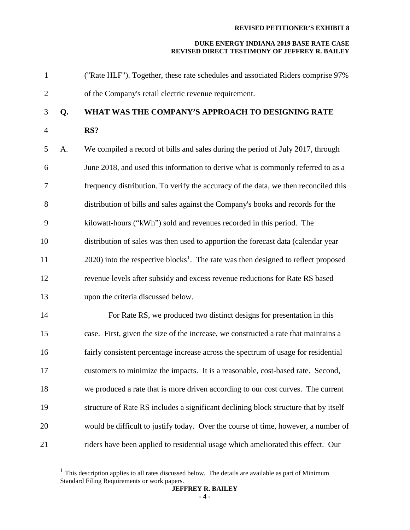#### **DUKE ENERGY INDIANA 2019 BASE RATE CASE REVISED DIRECT TESTIMONY OF JEFFREY R. BAILEY**

 ("Rate HLF"). Together, these rate schedules and associated Riders comprise 97% of the Company's retail electric revenue requirement. **Q. WHAT WAS THE COMPANY'S APPROACH TO DESIGNING RATE RS?** A. We compiled a record of bills and sales during the period of July 2017, through June 2018, and used this information to derive what is commonly referred to as a frequency distribution. To verify the accuracy of the data, we then reconciled this distribution of bills and sales against the Company's books and records for the kilowatt-hours ("kWh") sold and revenues recorded in this period. The distribution of sales was then used to apportion the forecast data (calendar year into the respective blocks<sup>[1](#page-3-0)</sup>. The rate was then designed to reflect proposed revenue levels after subsidy and excess revenue reductions for Rate RS based upon the criteria discussed below. 14 For Rate RS, we produced two distinct designs for presentation in this case. First, given the size of the increase, we constructed a rate that maintains a fairly consistent percentage increase across the spectrum of usage for residential customers to minimize the impacts. It is a reasonable, cost-based rate. Second, we produced a rate that is more driven according to our cost curves. The current structure of Rate RS includes a significant declining block structure that by itself would be difficult to justify today. Over the course of time, however, a number of riders have been applied to residential usage which ameliorated this effect. Our

<span id="page-3-0"></span> $<sup>1</sup>$  This description applies to all rates discussed below. The details are available as part of Minimum</sup> Standard Filing Requirements or work papers.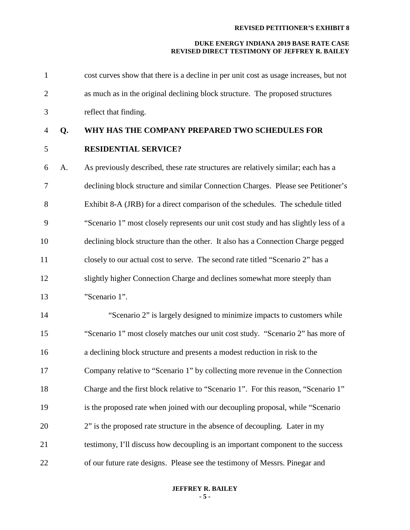## **DUKE ENERGY INDIANA 2019 BASE RATE CASE REVISED DIRECT TESTIMONY OF JEFFREY R. BAILEY**

| $\mathbf{1}$   |    | cost curves show that there is a decline in per unit cost as usage increases, but not |
|----------------|----|---------------------------------------------------------------------------------------|
| $\overline{2}$ |    | as much as in the original declining block structure. The proposed structures         |
| 3              |    | reflect that finding.                                                                 |
| $\overline{4}$ | Q. | WHY HAS THE COMPANY PREPARED TWO SCHEDULES FOR                                        |
| 5              |    | <b>RESIDENTIAL SERVICE?</b>                                                           |
| 6              | A. | As previously described, these rate structures are relatively similar; each has a     |
| $\overline{7}$ |    | declining block structure and similar Connection Charges. Please see Petitioner's     |
| 8              |    | Exhibit 8-A (JRB) for a direct comparison of the schedules. The schedule titled       |
| 9              |    | "Scenario 1" most closely represents our unit cost study and has slightly less of a   |
| 10             |    | declining block structure than the other. It also has a Connection Charge pegged      |
| 11             |    | closely to our actual cost to serve. The second rate titled "Scenario 2" has a        |
| 12             |    | slightly higher Connection Charge and declines somewhat more steeply than             |
| 13             |    | "Scenario 1".                                                                         |
| 14             |    | "Scenario 2" is largely designed to minimize impacts to customers while               |
| 15             |    | "Scenario 1" most closely matches our unit cost study. "Scenario 2" has more of       |
| 16             |    | a declining block structure and presents a modest reduction in risk to the            |
| 17             |    | Company relative to "Scenario 1" by collecting more revenue in the Connection         |
| 18             |    | Charge and the first block relative to "Scenario 1". For this reason, "Scenario 1"    |
| 19             |    | is the proposed rate when joined with our decoupling proposal, while "Scenario"       |
| 20             |    | 2" is the proposed rate structure in the absence of decoupling. Later in my           |
| 21             |    | testimony, I'll discuss how decoupling is an important component to the success       |
| 22             |    | of our future rate designs. Please see the testimony of Messrs. Pinegar and           |

# **JEFFREY R. BAILEY - 5 -**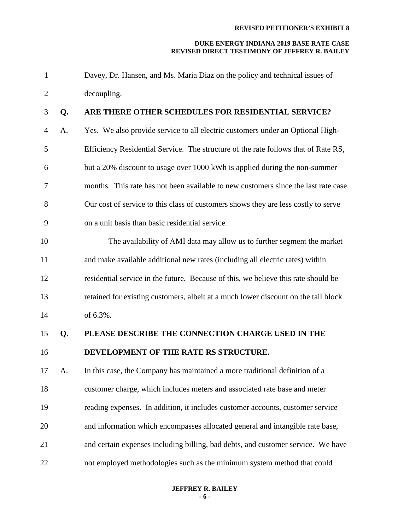#### **DUKE ENERGY INDIANA 2019 BASE RATE CASE REVISED DIRECT TESTIMONY OF JEFFREY R. BAILEY**

 Davey, Dr. Hansen, and Ms. Maria Diaz on the policy and technical issues of decoupling.

# **Q. ARE THERE OTHER SCHEDULES FOR RESIDENTIAL SERVICE?**

 A. Yes. We also provide service to all electric customers under an Optional High- Efficiency Residential Service. The structure of the rate follows that of Rate RS, but a 20% discount to usage over 1000 kWh is applied during the non-summer months. This rate has not been available to new customers since the last rate case. Our cost of service to this class of customers shows they are less costly to serve on a unit basis than basic residential service.

- 10 The availability of AMI data may allow us to further segment the market and make available additional new rates (including all electric rates) within residential service in the future. Because of this, we believe this rate should be retained for existing customers, albeit at a much lower discount on the tail block of 6.3%.
- 

# **Q. PLEASE DESCRIBE THE CONNECTION CHARGE USED IN THE**

# **DEVELOPMENT OF THE RATE RS STRUCTURE.**

 A. In this case, the Company has maintained a more traditional definition of a customer charge, which includes meters and associated rate base and meter reading expenses. In addition, it includes customer accounts, customer service and information which encompasses allocated general and intangible rate base, and certain expenses including billing, bad debts, and customer service. We have not employed methodologies such as the minimum system method that could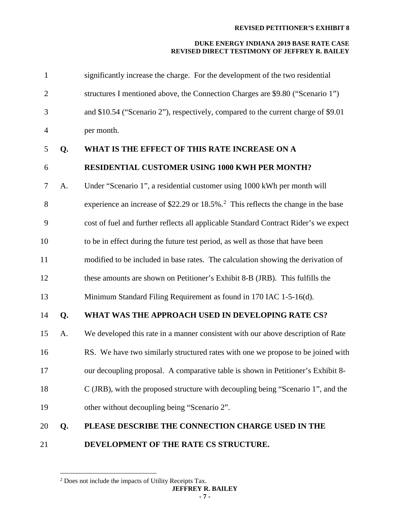| $\mathbf{1}$   |    | significantly increase the charge. For the development of the two residential                 |
|----------------|----|-----------------------------------------------------------------------------------------------|
| $\overline{2}$ |    | structures I mentioned above, the Connection Charges are \$9.80 ("Scenario 1")                |
| 3              |    | and \$10.54 ("Scenario 2"), respectively, compared to the current charge of \$9.01            |
| $\overline{4}$ |    | per month.                                                                                    |
| 5              | Q. | WHAT IS THE EFFECT OF THIS RATE INCREASE ON A                                                 |
| 6              |    | <b>RESIDENTIAL CUSTOMER USING 1000 KWH PER MONTH?</b>                                         |
| $\tau$         | A. | Under "Scenario 1", a residential customer using 1000 kWh per month will                      |
| 8              |    | experience an increase of \$22.29 or 18.5%. <sup>2</sup> This reflects the change in the base |
| 9              |    | cost of fuel and further reflects all applicable Standard Contract Rider's we expect          |
| 10             |    | to be in effect during the future test period, as well as those that have been                |
| 11             |    | modified to be included in base rates. The calculation showing the derivation of              |
| 12             |    | these amounts are shown on Petitioner's Exhibit 8-B (JRB). This fulfills the                  |
| 13             |    | Minimum Standard Filing Requirement as found in 170 IAC 1-5-16(d).                            |
| 14             | Q. | WHAT WAS THE APPROACH USED IN DEVELOPING RATE CS?                                             |
| 15             | A. | We developed this rate in a manner consistent with our above description of Rate              |
| 16             |    | RS. We have two similarly structured rates with one we propose to be joined with              |
| 17             |    | our decoupling proposal. A comparative table is shown in Petitioner's Exhibit 8-              |
| 18             |    | C (JRB), with the proposed structure with decoupling being "Scenario 1", and the              |
| 19             |    | other without decoupling being "Scenario 2".                                                  |
| 20             | Q. | PLEASE DESCRIBE THE CONNECTION CHARGE USED IN THE                                             |
| 21             |    | DEVELOPMENT OF THE RATE CS STRUCTURE.                                                         |

<span id="page-6-0"></span><sup>&</sup>lt;sup>2</sup> Does not include the impacts of Utility Receipts Tax.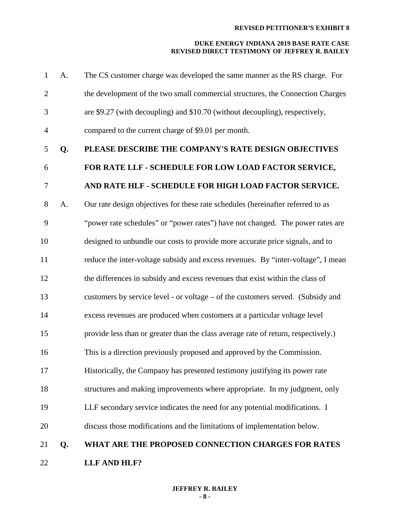| $\mathbf{1}$   | A. | The CS customer charge was developed the same manner as the RS charge. For         |
|----------------|----|------------------------------------------------------------------------------------|
| $\mathbf{2}$   |    | the development of the two small commercial structures, the Connection Charges     |
| 3              |    | are \$9.27 (with decoupling) and \$10.70 (without decoupling), respectively,       |
| $\overline{4}$ |    | compared to the current charge of \$9.01 per month.                                |
| 5              | Q. | PLEASE DESCRIBE THE COMPANY'S RATE DESIGN OBJECTIVES                               |
| 6              |    | FOR RATE LLF - SCHEDULE FOR LOW LOAD FACTOR SERVICE,                               |
| $\tau$         |    | AND RATE HLF - SCHEDULE FOR HIGH LOAD FACTOR SERVICE.                              |
| 8              | A. | Our rate design objectives for these rate schedules (hereinafter referred to as    |
| 9              |    | "power rate schedules" or "power rates") have not changed. The power rates are     |
| 10             |    | designed to unbundle our costs to provide more accurate price signals, and to      |
| 11             |    | reduce the inter-voltage subsidy and excess revenues. By "inter-voltage", I mean   |
| 12             |    | the differences in subsidy and excess revenues that exist within the class of      |
| 13             |    | customers by service level - or voltage – of the customers served. (Subsidy and    |
| 14             |    | excess revenues are produced when customers at a particular voltage level          |
| 15             |    | provide less than or greater than the class average rate of return, respectively.) |
| 16             |    | This is a direction previously proposed and approved by the Commission.            |
| 17             |    | Historically, the Company has presented testimony justifying its power rate        |
| 18             |    | structures and making improvements where appropriate. In my judgment, only         |
| 19             |    | LLF secondary service indicates the need for any potential modifications. I        |
| 20             |    | discuss those modifications and the limitations of implementation below.           |
| 21             | Q. | WHAT ARE THE PROPOSED CONNECTION CHARGES FOR RATES                                 |
| 22             |    | LLF AND HLF?                                                                       |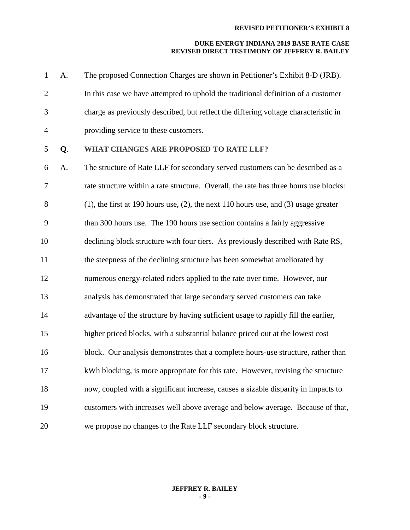| $\mathbf{1}$   | A. | The proposed Connection Charges are shown in Petitioner's Exhibit 8-D (JRB).                |
|----------------|----|---------------------------------------------------------------------------------------------|
| $\overline{2}$ |    | In this case we have attempted to uphold the traditional definition of a customer           |
| 3              |    | charge as previously described, but reflect the differing voltage characteristic in         |
| $\overline{4}$ |    | providing service to these customers.                                                       |
| 5              | Q. | WHAT CHANGES ARE PROPOSED TO RATE LLF?                                                      |
| 6              | A. | The structure of Rate LLF for secondary served customers can be described as a              |
| $\overline{7}$ |    | rate structure within a rate structure. Overall, the rate has three hours use blocks:       |
| 8              |    | $(1)$ , the first at 190 hours use, $(2)$ , the next 110 hours use, and $(3)$ usage greater |
| 9              |    | than 300 hours use. The 190 hours use section contains a fairly aggressive                  |
| 10             |    | declining block structure with four tiers. As previously described with Rate RS,            |
| 11             |    | the steepness of the declining structure has been somewhat ameliorated by                   |
| 12             |    | numerous energy-related riders applied to the rate over time. However, our                  |
| 13             |    | analysis has demonstrated that large secondary served customers can take                    |
| 14             |    | advantage of the structure by having sufficient usage to rapidly fill the earlier,          |
| 15             |    | higher priced blocks, with a substantial balance priced out at the lowest cost              |
| 16             |    | block. Our analysis demonstrates that a complete hours-use structure, rather than           |
| 17             |    | kWh blocking, is more appropriate for this rate. However, revising the structure            |
| 18             |    | now, coupled with a significant increase, causes a sizable disparity in impacts to          |
| 19             |    | customers with increases well above average and below average. Because of that,             |
| 20             |    | we propose no changes to the Rate LLF secondary block structure.                            |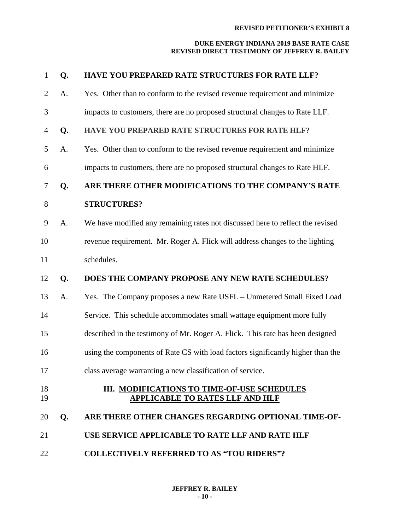| 1              | Q. | HAVE YOU PREPARED RATE STRUCTURES FOR RATE LLF?                                       |
|----------------|----|---------------------------------------------------------------------------------------|
| $\overline{2}$ | A. | Yes. Other than to conform to the revised revenue requirement and minimize            |
| 3              |    | impacts to customers, there are no proposed structural changes to Rate LLF.           |
| 4              | Q. | HAVE YOU PREPARED RATE STRUCTURES FOR RATE HLF?                                       |
| 5              | A. | Yes. Other than to conform to the revised revenue requirement and minimize            |
| 6              |    | impacts to customers, there are no proposed structural changes to Rate HLF.           |
| $\tau$         | Q. | ARE THERE OTHER MODIFICATIONS TO THE COMPANY'S RATE                                   |
| 8              |    | <b>STRUCTURES?</b>                                                                    |
| 9              | A. | We have modified any remaining rates not discussed here to reflect the revised        |
| 10             |    | revenue requirement. Mr. Roger A. Flick will address changes to the lighting          |
| 11             |    | schedules.                                                                            |
| 12             | Q. | DOES THE COMPANY PROPOSE ANY NEW RATE SCHEDULES?                                      |
| 13             | A. | Yes. The Company proposes a new Rate USFL - Unmetered Small Fixed Load                |
| 14             |    | Service. This schedule accommodates small wattage equipment more fully                |
| 15             |    | described in the testimony of Mr. Roger A. Flick. This rate has been designed         |
| 16             |    | using the components of Rate CS with load factors significantly higher than the       |
| 17             |    | class average warranting a new classification of service.                             |
| 18<br>19       |    | III. MODIFICATIONS TO TIME-OF-USE SCHEDULES<br><b>APPLICABLE TO RATES LLF AND HLF</b> |
| 20             | Q. | ARE THERE OTHER CHANGES REGARDING OPTIONAL TIME-OF-                                   |
| 21             |    | USE SERVICE APPLICABLE TO RATE LLF AND RATE HLF                                       |
| 22             |    | <b>COLLECTIVELY REFERRED TO AS "TOU RIDERS"?</b>                                      |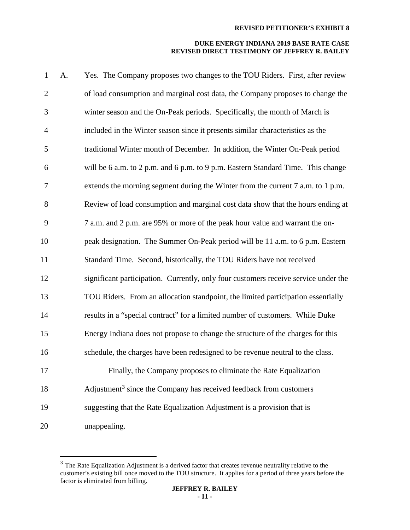| $\mathbf{1}$   | A. | Yes. The Company proposes two changes to the TOU Riders. First, after review        |
|----------------|----|-------------------------------------------------------------------------------------|
| $\overline{2}$ |    | of load consumption and marginal cost data, the Company proposes to change the      |
| 3              |    | winter season and the On-Peak periods. Specifically, the month of March is          |
| $\overline{4}$ |    | included in the Winter season since it presents similar characteristics as the      |
| 5              |    | traditional Winter month of December. In addition, the Winter On-Peak period        |
| 6              |    | will be 6 a.m. to 2 p.m. and 6 p.m. to 9 p.m. Eastern Standard Time. This change    |
| 7              |    | extends the morning segment during the Winter from the current 7 a.m. to 1 p.m.     |
| 8              |    | Review of load consumption and marginal cost data show that the hours ending at     |
| 9              |    | 7 a.m. and 2 p.m. are 95% or more of the peak hour value and warrant the on-        |
| 10             |    | peak designation. The Summer On-Peak period will be 11 a.m. to 6 p.m. Eastern       |
| 11             |    | Standard Time. Second, historically, the TOU Riders have not received               |
| 12             |    | significant participation. Currently, only four customers receive service under the |
| 13             |    | TOU Riders. From an allocation standpoint, the limited participation essentially    |
| 14             |    | results in a "special contract" for a limited number of customers. While Duke       |
| 15             |    | Energy Indiana does not propose to change the structure of the charges for this     |
| 16             |    | schedule, the charges have been redesigned to be revenue neutral to the class.      |
| 17             |    | Finally, the Company proposes to eliminate the Rate Equalization                    |
| 18             |    | Adjustment <sup>3</sup> since the Company has received feedback from customers      |
| 19             |    | suggesting that the Rate Equalization Adjustment is a provision that is             |
| 20             |    | unappealing.                                                                        |

<span id="page-10-0"></span><sup>&</sup>lt;sup>3</sup> The Rate Equalization Adjustment is a derived factor that creates revenue neutrality relative to the customer's existing bill once moved to the TOU structure. It applies for a period of three years before the factor is eliminated from billing.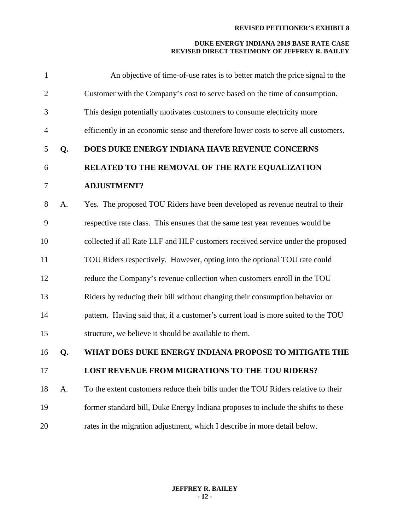| 1              |    | An objective of time-of-use rates is to better match the price signal to the       |
|----------------|----|------------------------------------------------------------------------------------|
| $\overline{2}$ |    | Customer with the Company's cost to serve based on the time of consumption.        |
| 3              |    | This design potentially motivates customers to consume electricity more            |
| $\overline{4}$ |    | efficiently in an economic sense and therefore lower costs to serve all customers. |
| 5              | Q. | DOES DUKE ENERGY INDIANA HAVE REVENUE CONCERNS                                     |
| 6              |    | RELATED TO THE REMOVAL OF THE RATE EQUALIZATION                                    |
| $\tau$         |    | <b>ADJUSTMENT?</b>                                                                 |
| 8              | A. | Yes. The proposed TOU Riders have been developed as revenue neutral to their       |
| 9              |    | respective rate class. This ensures that the same test year revenues would be      |
| 10             |    | collected if all Rate LLF and HLF customers received service under the proposed    |
| 11             |    | TOU Riders respectively. However, opting into the optional TOU rate could          |
| 12             |    | reduce the Company's revenue collection when customers enroll in the TOU           |
| 13             |    | Riders by reducing their bill without changing their consumption behavior or       |
| 14             |    | pattern. Having said that, if a customer's current load is more suited to the TOU  |
| 15             |    | structure, we believe it should be available to them.                              |
| 16             | Q. | WHAT DOES DUKE ENERGY INDIANA PROPOSE TO MITIGATE THE                              |
| 17             |    | LOST REVENUE FROM MIGRATIONS TO THE TOU RIDERS?                                    |
| 18             | A. | To the extent customers reduce their bills under the TOU Riders relative to their  |
| 19             |    | former standard bill, Duke Energy Indiana proposes to include the shifts to these  |
| 20             |    | rates in the migration adjustment, which I describe in more detail below.          |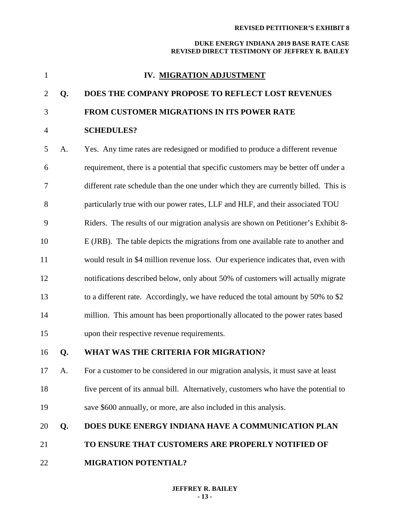#### **DUKE ENERGY INDIANA 2019 BASE RATE CASE REVISED DIRECT TESTIMONY OF JEFFREY R. BAILEY**

| $\mathbf{1}$   |    | IV. MIGRATION ADJUSTMENT                                                            |
|----------------|----|-------------------------------------------------------------------------------------|
| $\overline{2}$ | Q. | DOES THE COMPANY PROPOSE TO REFLECT LOST REVENUES                                   |
| 3              |    | FROM CUSTOMER MIGRATIONS IN ITS POWER RATE                                          |
| $\overline{4}$ |    | <b>SCHEDULES?</b>                                                                   |
| 5              | A. | Yes. Any time rates are redesigned or modified to produce a different revenue       |
| 6              |    | requirement, there is a potential that specific customers may be better off under a |
| 7              |    | different rate schedule than the one under which they are currently billed. This is |
| 8              |    | particularly true with our power rates, LLF and HLF, and their associated TOU       |
| 9              |    | Riders. The results of our migration analysis are shown on Petitioner's Exhibit 8-  |
| 10             |    | E (JRB). The table depicts the migrations from one available rate to another and    |
| 11             |    | would result in \$4 million revenue loss. Our experience indicates that, even with  |
| 12             |    | notifications described below, only about 50% of customers will actually migrate    |
| 13             |    | to a different rate. Accordingly, we have reduced the total amount by 50% to \$2    |
| 14             |    | million. This amount has been proportionally allocated to the power rates based     |

upon their respective revenue requirements.

# **Q. WHAT WAS THE CRITERIA FOR MIGRATION?**

 A. For a customer to be considered in our migration analysis, it must save at least five percent of its annual bill. Alternatively, customers who have the potential to save \$600 annually, or more, are also included in this analysis.

# **Q. DOES DUKE ENERGY INDIANA HAVE A COMMUNICATION PLAN**

- **TO ENSURE THAT CUSTOMERS ARE PROPERLY NOTIFIED OF**
- **MIGRATION POTENTIAL?**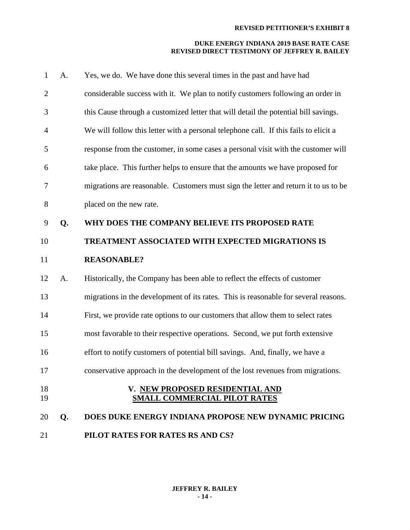| $\mathbf{1}$   | A. | Yes, we do. We have done this several times in the past and have had                 |
|----------------|----|--------------------------------------------------------------------------------------|
| $\overline{2}$ |    | considerable success with it. We plan to notify customers following an order in      |
| 3              |    | this Cause through a customized letter that will detail the potential bill savings.  |
| $\overline{4}$ |    | We will follow this letter with a personal telephone call. If this fails to elicit a |
| 5              |    | response from the customer, in some cases a personal visit with the customer will    |
| 6              |    | take place. This further helps to ensure that the amounts we have proposed for       |
| 7              |    | migrations are reasonable. Customers must sign the letter and return it to us to be  |
| $8\phantom{.}$ |    | placed on the new rate.                                                              |
| 9              | Q. | WHY DOES THE COMPANY BELIEVE ITS PROPOSED RATE                                       |
| 10             |    | TREATMENT ASSOCIATED WITH EXPECTED MIGRATIONS IS                                     |
| 11             |    | <b>REASONABLE?</b>                                                                   |
| 12             | A. | Historically, the Company has been able to reflect the effects of customer           |
| 13             |    | migrations in the development of its rates. This is reasonable for several reasons.  |
| 14             |    | First, we provide rate options to our customers that allow them to select rates      |
| 15             |    | most favorable to their respective operations. Second, we put forth extensive        |
| 16             |    | effort to notify customers of potential bill savings. And, finally, we have a        |
| 17             |    | conservative approach in the development of the lost revenues from migrations.       |
| 18<br>19       |    | V. NEW PROPOSED RESIDENTIAL AND<br><b>SMALL COMMERCIAL PILOT RATES</b>               |
| 20             | Q. | DOES DUKE ENERGY INDIANA PROPOSE NEW DYNAMIC PRICING                                 |
| 21             |    | PILOT RATES FOR RATES RS AND CS?                                                     |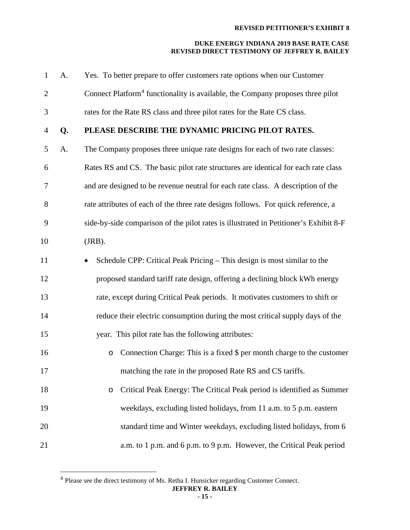| $\mathbf{1}$   | A. | Yes. To better prepare to offer customers rate options when our Customer                   |
|----------------|----|--------------------------------------------------------------------------------------------|
| $\overline{2}$ |    | Connect Platform <sup>4</sup> functionality is available, the Company proposes three pilot |
| 3              |    | rates for the Rate RS class and three pilot rates for the Rate CS class.                   |
| $\overline{4}$ | Q. | PLEASE DESCRIBE THE DYNAMIC PRICING PILOT RATES.                                           |
| 5              | A. | The Company proposes three unique rate designs for each of two rate classes:               |
| 6              |    | Rates RS and CS. The basic pilot rate structures are identical for each rate class         |
| 7              |    | and are designed to be revenue neutral for each rate class. A description of the           |
| 8              |    | rate attributes of each of the three rate designs follows. For quick reference, a          |
| 9              |    | side-by-side comparison of the pilot rates is illustrated in Petitioner's Exhibit 8-F      |
| 10             |    | $(JRB)$ .                                                                                  |
| 11             |    | Schedule CPP: Critical Peak Pricing – This design is most similar to the                   |
| 12             |    | proposed standard tariff rate design, offering a declining block kWh energy                |
| 13             |    | rate, except during Critical Peak periods. It motivates customers to shift or              |
| 14             |    | reduce their electric consumption during the most critical supply days of the              |
| 15             |    | year. This pilot rate has the following attributes:                                        |
| 16             |    | Connection Charge: This is a fixed \$ per month charge to the customer<br>$\circ$          |
| 17             |    | matching the rate in the proposed Rate RS and CS tariffs.                                  |
| 18             |    | Critical Peak Energy: The Critical Peak period is identified as Summer<br>$\circ$          |
| 19             |    | weekdays, excluding listed holidays, from 11 a.m. to 5 p.m. eastern                        |
| 20             |    | standard time and Winter weekdays, excluding listed holidays, from 6                       |
| 21             |    | a.m. to 1 p.m. and 6 p.m. to 9 p.m. However, the Critical Peak period                      |
|                |    |                                                                                            |

<span id="page-14-0"></span>Please see the direct testimony of Ms. Retha I. Hunsicker regarding Customer Connect.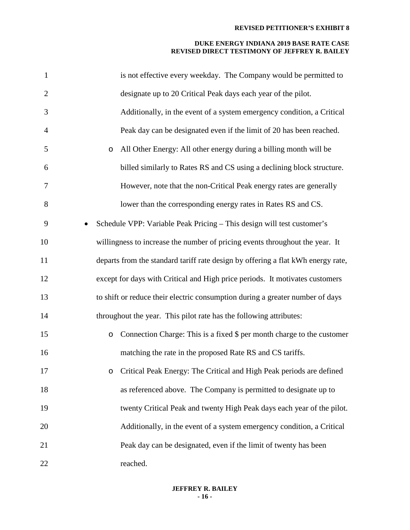| $\mathbf{1}$   | is not effective every weekday. The Company would be permitted to                 |
|----------------|-----------------------------------------------------------------------------------|
| $\overline{2}$ | designate up to 20 Critical Peak days each year of the pilot.                     |
| 3              | Additionally, in the event of a system emergency condition, a Critical            |
| $\overline{4}$ | Peak day can be designated even if the limit of 20 has been reached.              |
| 5              | All Other Energy: All other energy during a billing month will be<br>$\circ$      |
| 6              | billed similarly to Rates RS and CS using a declining block structure.            |
| $\tau$         | However, note that the non-Critical Peak energy rates are generally               |
| 8              | lower than the corresponding energy rates in Rates RS and CS.                     |
| 9              | Schedule VPP: Variable Peak Pricing - This design will test customer's            |
| 10             | willingness to increase the number of pricing events throughout the year. It      |
| 11             | departs from the standard tariff rate design by offering a flat kWh energy rate,  |
| 12             | except for days with Critical and High price periods. It motivates customers      |
| 13             | to shift or reduce their electric consumption during a greater number of days     |
| 14             | throughout the year. This pilot rate has the following attributes:                |
| 15             | Connection Charge: This is a fixed \$ per month charge to the customer<br>$\circ$ |
| 16             | matching the rate in the proposed Rate RS and CS tariffs.                         |
| 17             | Critical Peak Energy: The Critical and High Peak periods are defined              |
| 18             | as referenced above. The Company is permitted to designate up to                  |
| 19             | twenty Critical Peak and twenty High Peak days each year of the pilot.            |
| 20             | Additionally, in the event of a system emergency condition, a Critical            |
| 21             | Peak day can be designated, even if the limit of twenty has been                  |
| 22             | reached.                                                                          |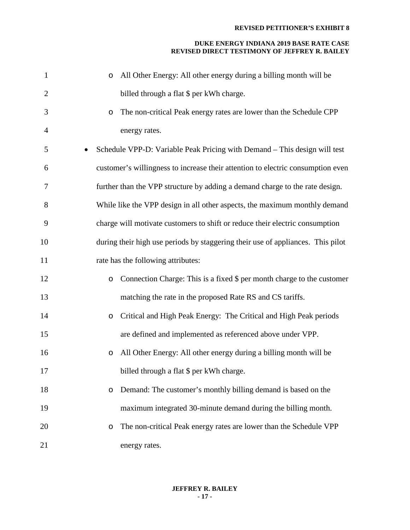| $\mathbf{1}$   | All Other Energy: All other energy during a billing month will be<br>$\circ$    |
|----------------|---------------------------------------------------------------------------------|
| $\overline{2}$ | billed through a flat \$ per kWh charge.                                        |
| 3              | The non-critical Peak energy rates are lower than the Schedule CPP<br>$\circ$   |
| $\overline{4}$ | energy rates.                                                                   |
| 5              | Schedule VPP-D: Variable Peak Pricing with Demand – This design will test       |
| 6              | customer's willingness to increase their attention to electric consumption even |
| 7              | further than the VPP structure by adding a demand charge to the rate design.    |
| 8              | While like the VPP design in all other aspects, the maximum monthly demand      |
| 9              | charge will motivate customers to shift or reduce their electric consumption    |
| 10             | during their high use periods by staggering their use of appliances. This pilot |
| 11             | rate has the following attributes:                                              |
| 12             | Connection Charge: This is a fixed \$ per month charge to the customer<br>O     |
| 13             | matching the rate in the proposed Rate RS and CS tariffs.                       |
| 14             | Critical and High Peak Energy: The Critical and High Peak periods<br>$\circ$    |
| 15             | are defined and implemented as referenced above under VPP.                      |
| 16             | All Other Energy: All other energy during a billing month will be<br>$\circ$    |
| 17             | billed through a flat \$ per kWh charge.                                        |
| 18             | Demand: The customer's monthly billing demand is based on the<br>O              |
| 19             | maximum integrated 30-minute demand during the billing month.                   |
| 20             | The non-critical Peak energy rates are lower than the Schedule VPP<br>O         |
| 21             | energy rates.                                                                   |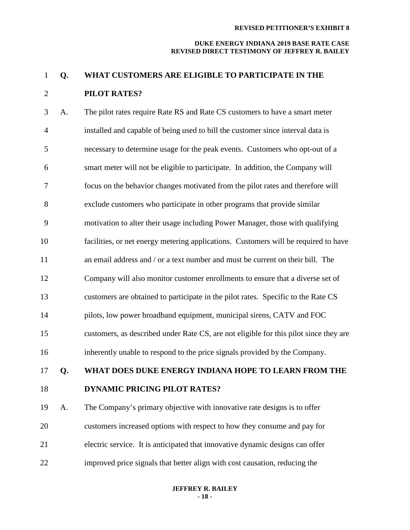#### **DUKE ENERGY INDIANA 2019 BASE RATE CASE REVISED DIRECT TESTIMONY OF JEFFREY R. BAILEY**

# **Q. WHAT CUSTOMERS ARE ELIGIBLE TO PARTICIPATE IN THE PILOT RATES?**

 A. The pilot rates require Rate RS and Rate CS customers to have a smart meter installed and capable of being used to bill the customer since interval data is necessary to determine usage for the peak events. Customers who opt-out of a smart meter will not be eligible to participate. In addition, the Company will focus on the behavior changes motivated from the pilot rates and therefore will exclude customers who participate in other programs that provide similar motivation to alter their usage including Power Manager, those with qualifying facilities, or net energy metering applications. Customers will be required to have an email address and / or a text number and must be current on their bill. The Company will also monitor customer enrollments to ensure that a diverse set of customers are obtained to participate in the pilot rates. Specific to the Rate CS pilots, low power broadband equipment, municipal sirens, CATV and FOC customers, as described under Rate CS, are not eligible for this pilot since they are inherently unable to respond to the price signals provided by the Company. **Q. WHAT DOES DUKE ENERGY INDIANA HOPE TO LEARN FROM THE DYNAMIC PRICING PILOT RATES?** A. The Company's primary objective with innovative rate designs is to offer customers increased options with respect to how they consume and pay for electric service. It is anticipated that innovative dynamic designs can offer

improved price signals that better align with cost causation, reducing the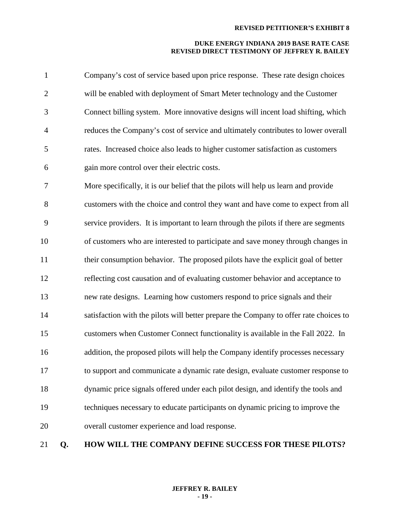#### **DUKE ENERGY INDIANA 2019 BASE RATE CASE REVISED DIRECT TESTIMONY OF JEFFREY R. BAILEY**

| $\mathbf{1}$   | Company's cost of service based upon price response. These rate design choices    |
|----------------|-----------------------------------------------------------------------------------|
| 2              | will be enabled with deployment of Smart Meter technology and the Customer        |
| 3              | Connect billing system. More innovative designs will incent load shifting, which  |
| $\overline{4}$ | reduces the Company's cost of service and ultimately contributes to lower overall |
| 5              | rates. Increased choice also leads to higher customer satisfaction as customers   |
| 6              | gain more control over their electric costs.                                      |

 More specifically, it is our belief that the pilots will help us learn and provide customers with the choice and control they want and have come to expect from all service providers. It is important to learn through the pilots if there are segments of customers who are interested to participate and save money through changes in their consumption behavior. The proposed pilots have the explicit goal of better reflecting cost causation and of evaluating customer behavior and acceptance to new rate designs. Learning how customers respond to price signals and their 14 satisfaction with the pilots will better prepare the Company to offer rate choices to customers when Customer Connect functionality is available in the Fall 2022. In addition, the proposed pilots will help the Company identify processes necessary to support and communicate a dynamic rate design, evaluate customer response to dynamic price signals offered under each pilot design, and identify the tools and techniques necessary to educate participants on dynamic pricing to improve the overall customer experience and load response.

# **Q. HOW WILL THE COMPANY DEFINE SUCCESS FOR THESE PILOTS?**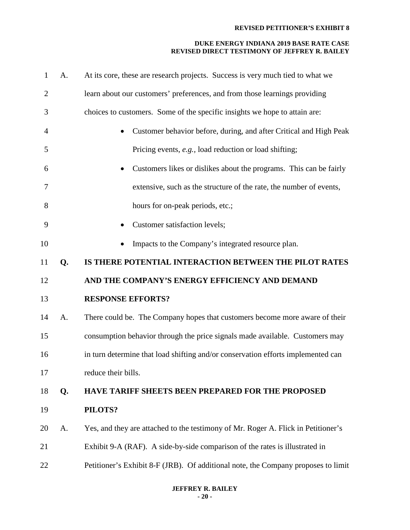# **DUKE ENERGY INDIANA 2019 BASE RATE CASE REVISED DIRECT TESTIMONY OF JEFFREY R. BAILEY**

| $\mathbf{1}$   | A. | At its core, these are research projects. Success is very much tied to what we    |
|----------------|----|-----------------------------------------------------------------------------------|
| $\overline{2}$ |    | learn about our customers' preferences, and from those learnings providing        |
| 3              |    | choices to customers. Some of the specific insights we hope to attain are:        |
| 4              |    | Customer behavior before, during, and after Critical and High Peak                |
| 5              |    | Pricing events, e.g., load reduction or load shifting;                            |
| 6              |    | Customers likes or dislikes about the programs. This can be fairly                |
| 7              |    | extensive, such as the structure of the rate, the number of events,               |
| 8              |    | hours for on-peak periods, etc.;                                                  |
| 9              |    | Customer satisfaction levels;                                                     |
| 10             |    | Impacts to the Company's integrated resource plan.                                |
| 11             | Q. | IS THERE POTENTIAL INTERACTION BETWEEN THE PILOT RATES                            |
| 12             |    | AND THE COMPANY'S ENERGY EFFICIENCY AND DEMAND                                    |
| 13             |    | <b>RESPONSE EFFORTS?</b>                                                          |
| 14             | A. | There could be. The Company hopes that customers become more aware of their       |
| 15             |    | consumption behavior through the price signals made available. Customers may      |
| 16             |    | in turn determine that load shifting and/or conservation efforts implemented can  |
| 17             |    | reduce their bills.                                                               |
| 18             | Q. | <b>HAVE TARIFF SHEETS BEEN PREPARED FOR THE PROPOSED</b>                          |
| 19             |    | PILOTS?                                                                           |
| 20             | A. | Yes, and they are attached to the testimony of Mr. Roger A. Flick in Petitioner's |
| 21             |    | Exhibit 9-A (RAF). A side-by-side comparison of the rates is illustrated in       |
| 22             |    | Petitioner's Exhibit 8-F (JRB). Of additional note, the Company proposes to limit |
|                |    |                                                                                   |

# **JEFFREY R. BAILEY - 20 -**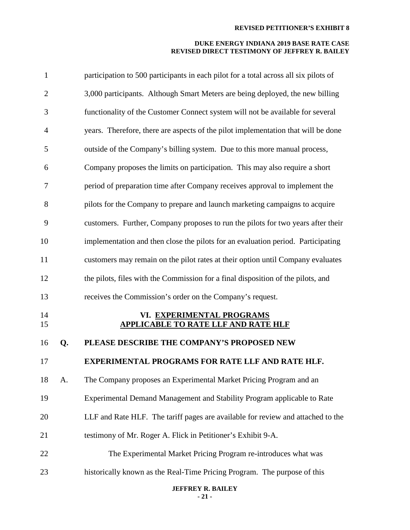# **DUKE ENERGY INDIANA 2019 BASE RATE CASE REVISED DIRECT TESTIMONY OF JEFFREY R. BAILEY**

| $\mathbf{1}$   |    | participation to 500 participants in each pilot for a total across all six pilots of |
|----------------|----|--------------------------------------------------------------------------------------|
| $\overline{2}$ |    | 3,000 participants. Although Smart Meters are being deployed, the new billing        |
| 3              |    | functionality of the Customer Connect system will not be available for several       |
| 4              |    | years. Therefore, there are aspects of the pilot implementation that will be done    |
| 5              |    | outside of the Company's billing system. Due to this more manual process,            |
| 6              |    | Company proposes the limits on participation. This may also require a short          |
| 7              |    | period of preparation time after Company receives approval to implement the          |
| 8              |    | pilots for the Company to prepare and launch marketing campaigns to acquire          |
| 9              |    | customers. Further, Company proposes to run the pilots for two years after their     |
| 10             |    | implementation and then close the pilots for an evaluation period. Participating     |
| 11             |    | customers may remain on the pilot rates at their option until Company evaluates      |
| 12             |    | the pilots, files with the Commission for a final disposition of the pilots, and     |
| 13             |    | receives the Commission's order on the Company's request.                            |
| 14<br>15       |    | VI. EXPERIMENTAL PROGRAMS<br><b>APPLICABLE TO RATE LLF AND RATE HLF</b>              |
| 16             | Q. | PLEASE DESCRIBE THE COMPANY'S PROPOSED NEW                                           |
| 17             |    | <b>EXPERIMENTAL PROGRAMS FOR RATE LLF AND RATE HLF.</b>                              |
| 18             | А. | The Company proposes an Experimental Market Pricing Program and an                   |
| 19             |    | Experimental Demand Management and Stability Program applicable to Rate              |
| 20             |    | LLF and Rate HLF. The tariff pages are available for review and attached to the      |
| 21             |    | testimony of Mr. Roger A. Flick in Petitioner's Exhibit 9-A.                         |
| 22             |    | The Experimental Market Pricing Program re-introduces what was                       |
| 23             |    | historically known as the Real-Time Pricing Program. The purpose of this             |
|                |    | <b>JEFFREY R. BAILEY</b>                                                             |

**- 21 -**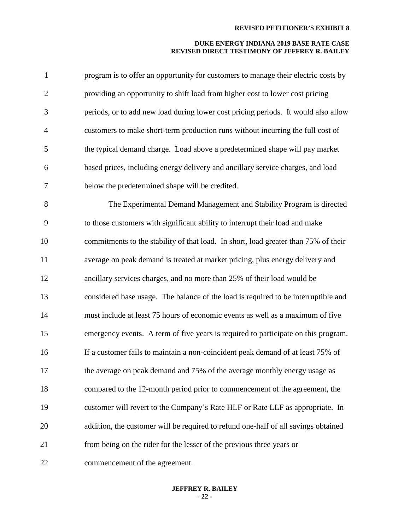#### **DUKE ENERGY INDIANA 2019 BASE RATE CASE REVISED DIRECT TESTIMONY OF JEFFREY R. BAILEY**

| $\mathbf{1}$   | program is to offer an opportunity for customers to manage their electric costs by  |
|----------------|-------------------------------------------------------------------------------------|
| $\overline{2}$ | providing an opportunity to shift load from higher cost to lower cost pricing       |
| 3              | periods, or to add new load during lower cost pricing periods. It would also allow  |
| $\overline{4}$ | customers to make short-term production runs without incurring the full cost of     |
| 5              | the typical demand charge. Load above a predetermined shape will pay market         |
| 6              | based prices, including energy delivery and ancillary service charges, and load     |
| $\overline{7}$ | below the predetermined shape will be credited.                                     |
| 8              | The Experimental Demand Management and Stability Program is directed                |
| 9              | to those customers with significant ability to interrupt their load and make        |
| 10             | commitments to the stability of that load. In short, load greater than 75% of their |
| 11             | average on peak demand is treated at market pricing, plus energy delivery and       |
| 12             | ancillary services charges, and no more than 25% of their load would be             |
| 13             | considered base usage. The balance of the load is required to be interruptible and  |
| 14             | must include at least 75 hours of economic events as well as a maximum of five      |

 emergency events. A term of five years is required to participate on this program. If a customer fails to maintain a non-coincident peak demand of at least 75% of 17 the average on peak demand and 75% of the average monthly energy usage as compared to the 12-month period prior to commencement of the agreement, the customer will revert to the Company's Rate HLF or Rate LLF as appropriate. In addition, the customer will be required to refund one-half of all savings obtained from being on the rider for the lesser of the previous three years or

commencement of the agreement.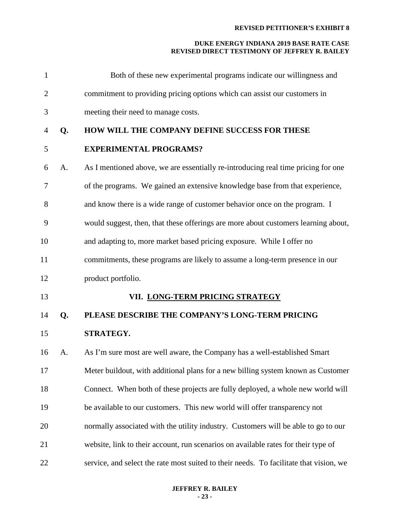| $\mathbf{1}$   |    | Both of these new experimental programs indicate our willingness and                   |
|----------------|----|----------------------------------------------------------------------------------------|
| $\overline{2}$ |    | commitment to providing pricing options which can assist our customers in              |
| 3              |    | meeting their need to manage costs.                                                    |
| 4              | Q. | HOW WILL THE COMPANY DEFINE SUCCESS FOR THESE                                          |
| 5              |    | <b>EXPERIMENTAL PROGRAMS?</b>                                                          |
| 6              | A. | As I mentioned above, we are essentially re-introducing real time pricing for one      |
| 7              |    | of the programs. We gained an extensive knowledge base from that experience,           |
| 8              |    | and know there is a wide range of customer behavior once on the program. I             |
| 9              |    | would suggest, then, that these offerings are more about customers learning about,     |
| 10             |    | and adapting to, more market based pricing exposure. While I offer no                  |
| 11             |    | commitments, these programs are likely to assume a long-term presence in our           |
| 12             |    | product portfolio.                                                                     |
| 13             |    | VII. LONG-TERM PRICING STRATEGY                                                        |
| 14             | Q. | PLEASE DESCRIBE THE COMPANY'S LONG-TERM PRICING                                        |
| 15             |    | STRATEGY.                                                                              |
| 16             | A. | As I'm sure most are well aware, the Company has a well-established Smart              |
| 17             |    | Meter buildout, with additional plans for a new billing system known as Customer       |
| 18             |    | Connect. When both of these projects are fully deployed, a whole new world will        |
| 19             |    | be available to our customers. This new world will offer transparency not              |
| 20             |    | normally associated with the utility industry. Customers will be able to go to our     |
| 21             |    | website, link to their account, run scenarios on available rates for their type of     |
| 22             |    | service, and select the rate most suited to their needs. To facilitate that vision, we |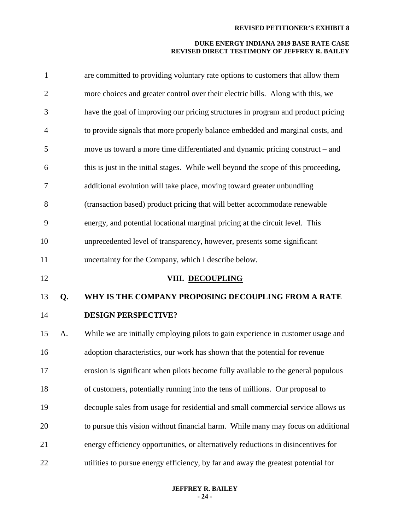| $\mathbf{1}$   |    | are committed to providing voluntary rate options to customers that allow them      |
|----------------|----|-------------------------------------------------------------------------------------|
| $\overline{2}$ |    | more choices and greater control over their electric bills. Along with this, we     |
| 3              |    | have the goal of improving our pricing structures in program and product pricing    |
| $\overline{4}$ |    | to provide signals that more properly balance embedded and marginal costs, and      |
| 5              |    | move us toward a more time differentiated and dynamic pricing construct – and       |
| 6              |    | this is just in the initial stages. While well beyond the scope of this proceeding, |
| 7              |    | additional evolution will take place, moving toward greater unbundling              |
| 8              |    | (transaction based) product pricing that will better accommodate renewable          |
| 9              |    | energy, and potential locational marginal pricing at the circuit level. This        |
| 10             |    | unprecedented level of transparency, however, presents some significant             |
| 11             |    | uncertainty for the Company, which I describe below.                                |
|                |    |                                                                                     |
| 12             |    | VIII. DECOUPLING                                                                    |
| 13             | Q. | WHY IS THE COMPANY PROPOSING DECOUPLING FROM A RATE                                 |
| 14             |    | <b>DESIGN PERSPECTIVE?</b>                                                          |
| 15             | A. | While we are initially employing pilots to gain experience in customer usage and    |
| 16             |    | adoption characteristics, our work has shown that the potential for revenue         |
| 17             |    | erosion is significant when pilots become fully available to the general populous   |
| 18             |    | of customers, potentially running into the tens of millions. Our proposal to        |
| 19             |    | decouple sales from usage for residential and small commercial service allows us    |
| 20             |    | to pursue this vision without financial harm. While many may focus on additional    |
| 21             |    | energy efficiency opportunities, or alternatively reductions in disincentives for   |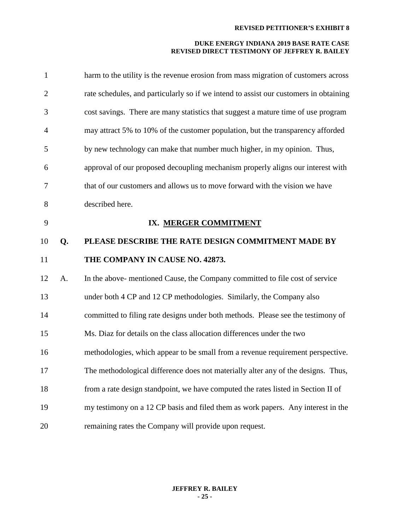| $\mathbf{1}$   |    | harm to the utility is the revenue erosion from mass migration of customers across    |
|----------------|----|---------------------------------------------------------------------------------------|
| $\overline{2}$ |    | rate schedules, and particularly so if we intend to assist our customers in obtaining |
| 3              |    | cost savings. There are many statistics that suggest a mature time of use program     |
| $\overline{4}$ |    | may attract 5% to 10% of the customer population, but the transparency afforded       |
| 5              |    | by new technology can make that number much higher, in my opinion. Thus,              |
| 6              |    | approval of our proposed decoupling mechanism properly aligns our interest with       |
| 7              |    | that of our customers and allows us to move forward with the vision we have           |
| 8              |    | described here.                                                                       |
| 9              |    | IX. MERGER COMMITMENT                                                                 |
| 10             | Q. | PLEASE DESCRIBE THE RATE DESIGN COMMITMENT MADE BY                                    |
| 11             |    | THE COMPANY IN CAUSE NO. 42873.                                                       |
| 12             | A. | In the above-mentioned Cause, the Company committed to file cost of service           |
| 13             |    |                                                                                       |
| 14             |    | under both 4 CP and 12 CP methodologies. Similarly, the Company also                  |
|                |    | committed to filing rate designs under both methods. Please see the testimony of      |
| 15             |    | Ms. Diaz for details on the class allocation differences under the two                |
| 16             |    | methodologies, which appear to be small from a revenue requirement perspective.       |
| 17             |    | The methodological difference does not materially alter any of the designs. Thus,     |
| 18             |    | from a rate design standpoint, we have computed the rates listed in Section II of     |
| 19             |    | my testimony on a 12 CP basis and filed them as work papers. Any interest in the      |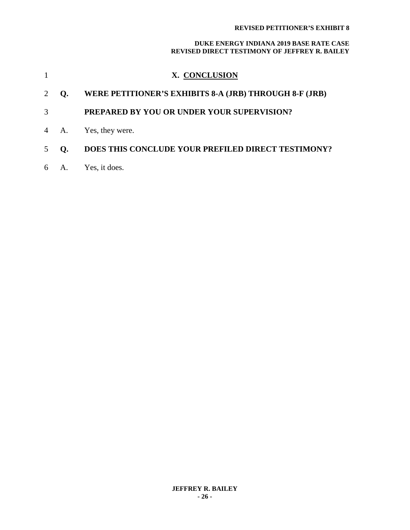|                |                | X. CONCLUSION                                          |
|----------------|----------------|--------------------------------------------------------|
|                | Q.             | WERE PETITIONER'S EXHIBITS 8-A (JRB) THROUGH 8-F (JRB) |
| 3              |                | <b>PREPARED BY YOU OR UNDER YOUR SUPERVISION?</b>      |
|                | 4 A.           | Yes, they were.                                        |
| $\overline{5}$ | $\mathbf{O}$ . | DOES THIS CONCLUDE YOUR PREFILED DIRECT TESTIMONY?     |
| 6              | A.             | Yes, it does.                                          |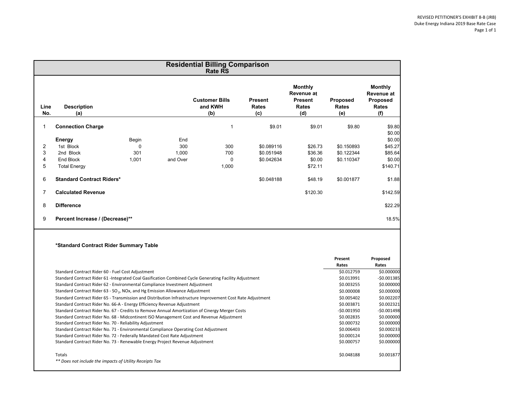|                |                                                                                                            |            |          | <b>Residential Billing Comparison</b><br><b>Rate RS</b> |                                       |                                                                |                                 |                                                                 |
|----------------|------------------------------------------------------------------------------------------------------------|------------|----------|---------------------------------------------------------|---------------------------------------|----------------------------------------------------------------|---------------------------------|-----------------------------------------------------------------|
| Line<br>No.    | <b>Description</b><br>(a)                                                                                  |            |          | <b>Customer Bills</b><br>and KWH<br>(b)                 | <b>Present</b><br><b>Rates</b><br>(c) | <b>Monthly</b><br>Revenue at<br><b>Present</b><br>Rates<br>(d) | Proposed<br><b>Rates</b><br>(e) | <b>Monthly</b><br>Revenue at<br>Proposed<br><b>Rates</b><br>(f) |
| $\mathbf{1}$   | <b>Connection Charge</b>                                                                                   |            |          | $\overline{1}$                                          | \$9.01                                | \$9.01                                                         | \$9.80                          | \$9.80                                                          |
|                |                                                                                                            |            | End      |                                                         |                                       |                                                                |                                 | \$0.00<br>\$0.00                                                |
| $\overline{2}$ | Energy<br>1st Block                                                                                        | Begin<br>0 | 300      | 300                                                     |                                       |                                                                |                                 | \$45.27                                                         |
| 3              | 2nd Block                                                                                                  |            |          |                                                         | \$0.089116                            | \$26.73                                                        | \$0.150893                      |                                                                 |
|                |                                                                                                            | 301        | 1,000    | 700                                                     | \$0.051948                            | \$36.36                                                        | \$0.122344                      | \$85.64                                                         |
| 4              | <b>End Block</b>                                                                                           | 1,001      | and Over | 0                                                       | \$0.042634                            | \$0.00                                                         | \$0.110347                      | \$0.00                                                          |
| 5              | <b>Total Energy</b>                                                                                        |            |          | 1,000                                                   |                                       | \$72.11                                                        |                                 | \$140.71                                                        |
| 6              | <b>Standard Contract Riders*</b>                                                                           |            |          |                                                         | \$0.048188                            | \$48.19                                                        | \$0.001877                      | \$1.88                                                          |
| $\overline{7}$ | <b>Calculated Revenue</b>                                                                                  |            |          |                                                         |                                       | \$120.30                                                       |                                 | \$142.59                                                        |
| 8              | <b>Difference</b>                                                                                          |            |          |                                                         |                                       |                                                                |                                 | \$22.29                                                         |
| 9              | Percent Increase / (Decrease)**                                                                            |            |          |                                                         |                                       |                                                                |                                 | 18.5%                                                           |
|                | *Standard Contract Rider Summary Table                                                                     |            |          |                                                         |                                       |                                                                |                                 |                                                                 |
|                |                                                                                                            |            |          |                                                         |                                       |                                                                | Present<br>Rates                | Proposed<br>Rates                                               |
|                | Standard Contract Rider 60 - Fuel Cost Adjustment                                                          |            |          |                                                         |                                       |                                                                | \$0.012759                      | \$0.000000                                                      |
|                | Standard Contract Rider 61 -Integrated Coal Gasification Combined Cycle Generating Facility Adjustment     |            |          |                                                         |                                       |                                                                | \$0.013991                      | $-$0.001385$                                                    |
|                | Standard Contract Rider 62 - Environmental Compliance Investment Adjustment                                |            |          |                                                         |                                       |                                                                | \$0.003255                      | \$0.000000                                                      |
|                | Standard Contract Rider 63 - SO <sub>2</sub> , NOx, and Hg Emission Allowance Adjustment                   |            |          |                                                         |                                       | \$0.000008                                                     | \$0.000000                      |                                                                 |
|                | Standard Contract Rider 65 - Transmission and Distribution Infrastructure Improvement Cost Rate Adjustment |            |          |                                                         |                                       |                                                                | \$0.005402                      | \$0.002207                                                      |
|                | Standard Contract Rider No. 66-A - Energy Efficiency Revenue Adjustment                                    |            |          |                                                         |                                       |                                                                | \$0.003871                      | \$0.002321                                                      |
|                | Standard Contract Rider No. 67 - Credits to Remove Annual Amortization of Cinergy Merger Costs             |            |          |                                                         |                                       |                                                                | $-50.001950$                    | $-50.001498$                                                    |
|                | Standard Contract Rider No. 68 - Midcontinent ISO Management Cost and Revenue Adjustment                   |            |          |                                                         |                                       | \$0.002835                                                     | \$0.000000                      |                                                                 |
|                | Standard Contract Rider No. 70 - Reliability Adjustment                                                    |            |          |                                                         | \$0.000732                            | \$0.000000                                                     |                                 |                                                                 |
|                | Standard Contract Rider No. 71 - Environmental Compliance Operating Cost Adjustment                        |            |          |                                                         |                                       |                                                                | \$0.006403                      | \$0.000233                                                      |
|                | Standard Contract Rider No. 72 - Federally Mandated Cost Rate Adjustment                                   |            |          |                                                         |                                       |                                                                | \$0.000124                      | \$0.000000                                                      |
|                | Standard Contract Rider No. 73 - Renewable Energy Project Revenue Adjustment                               |            |          |                                                         |                                       |                                                                | \$0.000757                      | \$0.000000                                                      |
|                | Totals<br>** Does not include the impacts of Utility Receipts Tax                                          |            |          |                                                         |                                       |                                                                | \$0.048188                      | \$0.001877                                                      |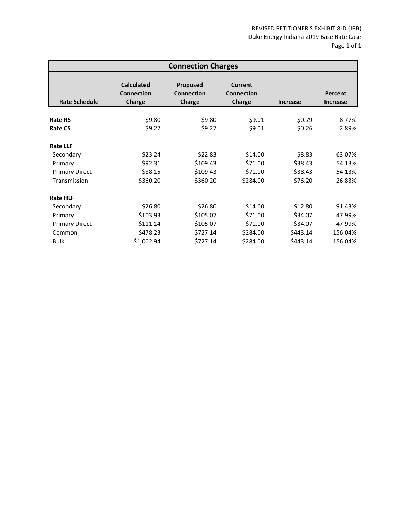| <b>Connection Charges</b> |                                                  |                                  |                                        |                 |                            |  |  |
|---------------------------|--------------------------------------------------|----------------------------------|----------------------------------------|-----------------|----------------------------|--|--|
| <b>Rate Schedule</b>      | <b>Calculated</b><br><b>Connection</b><br>Charge | Proposed<br>Connection<br>Charge | Current<br><b>Connection</b><br>Charge | <b>Increase</b> | Percent<br><b>Increase</b> |  |  |
| <b>Rate RS</b>            | \$9.80                                           | \$9.80                           | \$9.01                                 | \$0.79          | 8.77%                      |  |  |
| <b>Rate CS</b>            | \$9.27                                           | \$9.27                           | \$9.01                                 | \$0.26          | 2.89%                      |  |  |
| <b>Rate LLF</b>           |                                                  |                                  |                                        |                 |                            |  |  |
| Secondary                 | \$23.24                                          | \$22.83                          | \$14.00                                | \$8.83          | 63.07%                     |  |  |
| Primary                   | \$92.31                                          | \$109.43                         | \$71.00                                | \$38.43         | 54.13%                     |  |  |
| <b>Primary Direct</b>     | \$88.15                                          | \$109.43                         | \$71.00                                | \$38.43         | 54.13%                     |  |  |
| Transmission              | \$360.20                                         | \$360.20                         | \$284.00                               | \$76.20         | 26.83%                     |  |  |
| <b>Rate HLF</b>           |                                                  |                                  |                                        |                 |                            |  |  |
| Secondary                 | \$26.80                                          | \$26.80                          | \$14.00                                | \$12.80         | 91.43%                     |  |  |
| Primary                   | \$103.93                                         | \$105.07                         | \$71.00                                | \$34.07         | 47.99%                     |  |  |
| <b>Primary Direct</b>     | \$111.14                                         | \$105.07                         | \$71.00                                | \$34.07         | 47.99%                     |  |  |
| Common                    | \$478.23                                         | \$727.14                         | \$284.00                               | \$443.14        | 156.04%                    |  |  |
| <b>Bulk</b>               | \$1,002.94                                       | \$727.14                         | \$284.00                               | \$443.14        | 156.04%                    |  |  |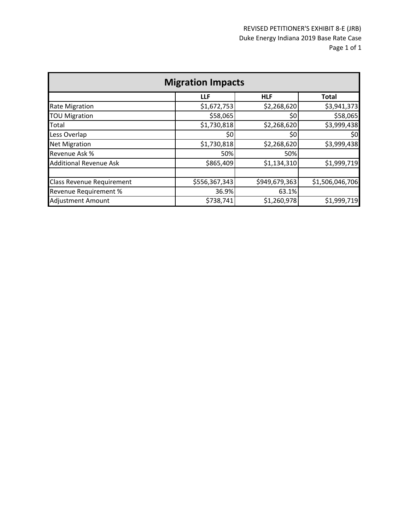| <b>Migration Impacts</b>         |               |               |                 |  |  |  |  |
|----------------------------------|---------------|---------------|-----------------|--|--|--|--|
|                                  | LLF           | <b>HLF</b>    | <b>Total</b>    |  |  |  |  |
| <b>Rate Migration</b>            | \$1,672,753   | \$2,268,620   | \$3,941,373     |  |  |  |  |
| <b>TOU Migration</b>             | \$58,065      | 50            | \$58,065        |  |  |  |  |
| <b>Total</b>                     | \$1,730,818   | \$2,268,620   | \$3,999,438     |  |  |  |  |
| Less Overlap                     | \$0           | \$0           | \$0             |  |  |  |  |
| <b>Net Migration</b>             | \$1,730,818   | \$2,268,620   | \$3,999,438     |  |  |  |  |
| Revenue Ask %                    | 50%           | 50%           |                 |  |  |  |  |
| <b>Additional Revenue Ask</b>    | \$865,409     | \$1,134,310   | \$1,999,719     |  |  |  |  |
|                                  |               |               |                 |  |  |  |  |
| <b>Class Revenue Requirement</b> | \$556,367,343 | \$949,679,363 | \$1,506,046,706 |  |  |  |  |
| Revenue Requirement %            | 36.9%         | 63.1%         |                 |  |  |  |  |
| <b>Adjustment Amount</b>         | \$738,741     | \$1,260,978   | \$1,999,719     |  |  |  |  |